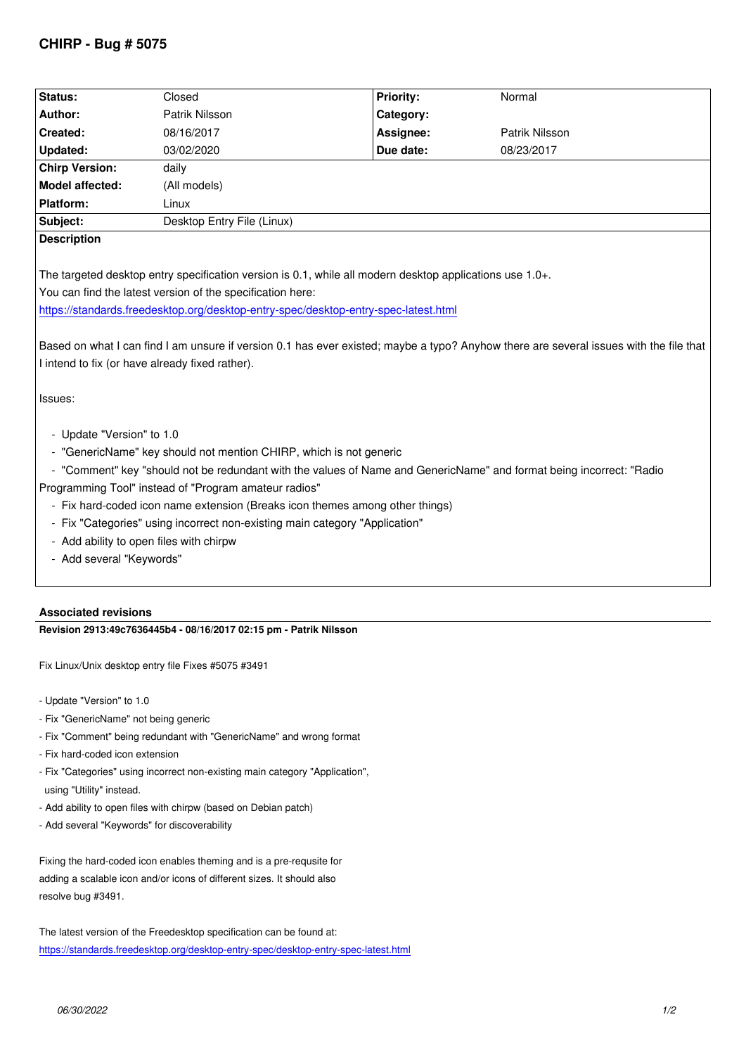| Status:                                                                                                                                | Closed                     | <b>Priority:</b> | Normal         |
|----------------------------------------------------------------------------------------------------------------------------------------|----------------------------|------------------|----------------|
| Author:                                                                                                                                | Patrik Nilsson             | Category:        |                |
| Created:                                                                                                                               | 08/16/2017                 | Assignee:        | Patrik Nilsson |
| <b>Updated:</b>                                                                                                                        | 03/02/2020                 | Due date:        | 08/23/2017     |
| <b>Chirp Version:</b>                                                                                                                  | daily                      |                  |                |
| <b>Model affected:</b>                                                                                                                 | (All models)               |                  |                |
| <b>Platform:</b>                                                                                                                       | Linux                      |                  |                |
| Subject:                                                                                                                               | Desktop Entry File (Linux) |                  |                |
| <b>Description</b>                                                                                                                     |                            |                  |                |
|                                                                                                                                        |                            |                  |                |
| The targeted desktop entry specification version is 0.1, while all modern desktop applications use 1.0+.                               |                            |                  |                |
| You can find the latest version of the specification here:                                                                             |                            |                  |                |
| https://standards.freedesktop.org/desktop-entry-spec/desktop-entry-spec-latest.html                                                    |                            |                  |                |
|                                                                                                                                        |                            |                  |                |
| Based on what I can find I am unsure if version 0.1 has ever existed; maybe a typo? Anyhow there are several issues with the file that |                            |                  |                |
| I intend to fix (or have already fixed rather).                                                                                        |                            |                  |                |
|                                                                                                                                        |                            |                  |                |
| Issues:                                                                                                                                |                            |                  |                |
|                                                                                                                                        |                            |                  |                |
| - Update "Version" to 1.0                                                                                                              |                            |                  |                |
| - "GenericName" key should not mention CHIRP, which is not generic                                                                     |                            |                  |                |
| - "Comment" key "should not be redundant with the values of Name and GenericName" and format being incorrect: "Radio                   |                            |                  |                |
| Programming Tool" instead of "Program amateur radios"                                                                                  |                            |                  |                |
| - Fix hard-coded icon name extension (Breaks icon themes among other things)                                                           |                            |                  |                |
| - Fix "Categories" using incorrect non-existing main category "Application"                                                            |                            |                  |                |
| - Add ability to open files with chirpw                                                                                                |                            |                  |                |
| - Add several "Keywords"                                                                                                               |                            |                  |                |
|                                                                                                                                        |                            |                  |                |

## **Associated revisions**

**Revision 2913:49c7636445b4 - 08/16/2017 02:15 pm - Patrik Nilsson**

*Fix Linux/Unix desktop entry file Fixes #5075 #3491*

*- Update "Version" to 1.0*

- *Fix "GenericName" not being generic*
- *Fix "Comment" being redundant with "GenericName" and wrong format*
- *Fix hard-coded icon extension*
- *Fix "Categories" using incorrect non-existing main category "Application", using "Utility" instead.*
- *Add ability to open files with chirpw (based on Debian patch)*
- *Add several "Keywords" for discoverability*

*Fixing the hard-coded icon enables theming and is a pre-requsite for adding a scalable icon and/or icons of different sizes. It should also resolve bug #3491.*

*The latest version of the Freedesktop specification can be found at: https://standards.freedesktop.org/desktop-entry-spec/desktop-entry-spec-latest.html*